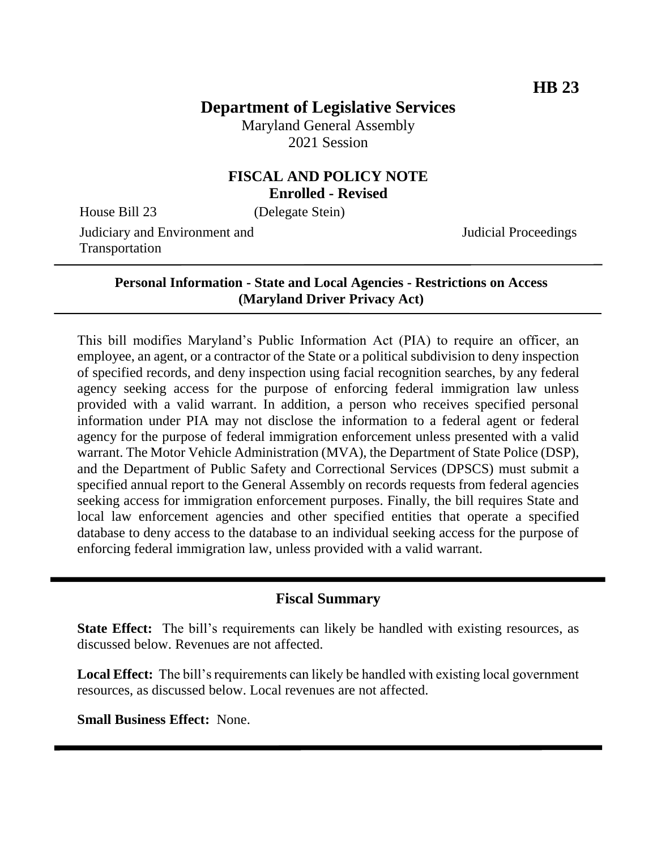# **Department of Legislative Services**

Maryland General Assembly 2021 Session

### **FISCAL AND POLICY NOTE Enrolled - Revised**

House Bill 23 (Delegate Stein)

Judiciary and Environment and Transportation

Judicial Proceedings

**Personal Information - State and Local Agencies - Restrictions on Access (Maryland Driver Privacy Act)**

This bill modifies Maryland's Public Information Act (PIA) to require an officer, an employee, an agent, or a contractor of the State or a political subdivision to deny inspection of specified records, and deny inspection using facial recognition searches, by any federal agency seeking access for the purpose of enforcing federal immigration law unless provided with a valid warrant. In addition, a person who receives specified personal information under PIA may not disclose the information to a federal agent or federal agency for the purpose of federal immigration enforcement unless presented with a valid warrant. The Motor Vehicle Administration (MVA), the Department of State Police (DSP), and the Department of Public Safety and Correctional Services (DPSCS) must submit a specified annual report to the General Assembly on records requests from federal agencies seeking access for immigration enforcement purposes. Finally, the bill requires State and local law enforcement agencies and other specified entities that operate a specified database to deny access to the database to an individual seeking access for the purpose of enforcing federal immigration law, unless provided with a valid warrant.

### **Fiscal Summary**

**State Effect:** The bill's requirements can likely be handled with existing resources, as discussed below. Revenues are not affected.

**Local Effect:** The bill's requirements can likely be handled with existing local government resources, as discussed below. Local revenues are not affected.

**Small Business Effect:** None.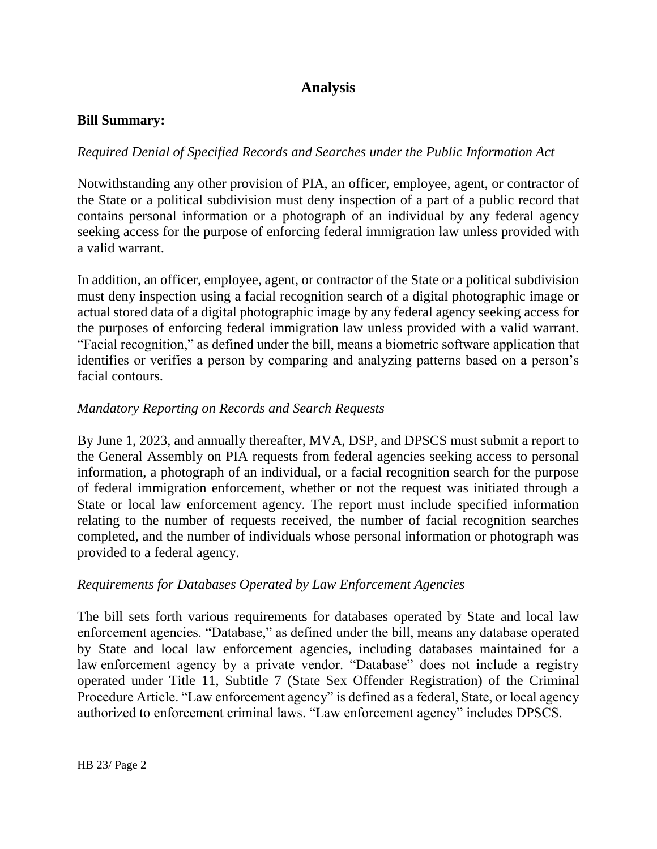# **Analysis**

#### **Bill Summary:**

### *Required Denial of Specified Records and Searches under the Public Information Act*

Notwithstanding any other provision of PIA, an officer, employee, agent, or contractor of the State or a political subdivision must deny inspection of a part of a public record that contains personal information or a photograph of an individual by any federal agency seeking access for the purpose of enforcing federal immigration law unless provided with a valid warrant.

In addition, an officer, employee, agent, or contractor of the State or a political subdivision must deny inspection using a facial recognition search of a digital photographic image or actual stored data of a digital photographic image by any federal agency seeking access for the purposes of enforcing federal immigration law unless provided with a valid warrant. "Facial recognition," as defined under the bill, means a biometric software application that identifies or verifies a person by comparing and analyzing patterns based on a person's facial contours.

### *Mandatory Reporting on Records and Search Requests*

By June 1, 2023, and annually thereafter, MVA, DSP, and DPSCS must submit a report to the General Assembly on PIA requests from federal agencies seeking access to personal information, a photograph of an individual, or a facial recognition search for the purpose of federal immigration enforcement, whether or not the request was initiated through a State or local law enforcement agency. The report must include specified information relating to the number of requests received, the number of facial recognition searches completed, and the number of individuals whose personal information or photograph was provided to a federal agency.

### *Requirements for Databases Operated by Law Enforcement Agencies*

The bill sets forth various requirements for databases operated by State and local law enforcement agencies. "Database," as defined under the bill, means any database operated by State and local law enforcement agencies, including databases maintained for a law enforcement agency by a private vendor. "Database" does not include a registry operated under Title 11, Subtitle 7 (State Sex Offender Registration) of the Criminal Procedure Article. "Law enforcement agency" is defined as a federal, State, or local agency authorized to enforcement criminal laws. "Law enforcement agency" includes DPSCS.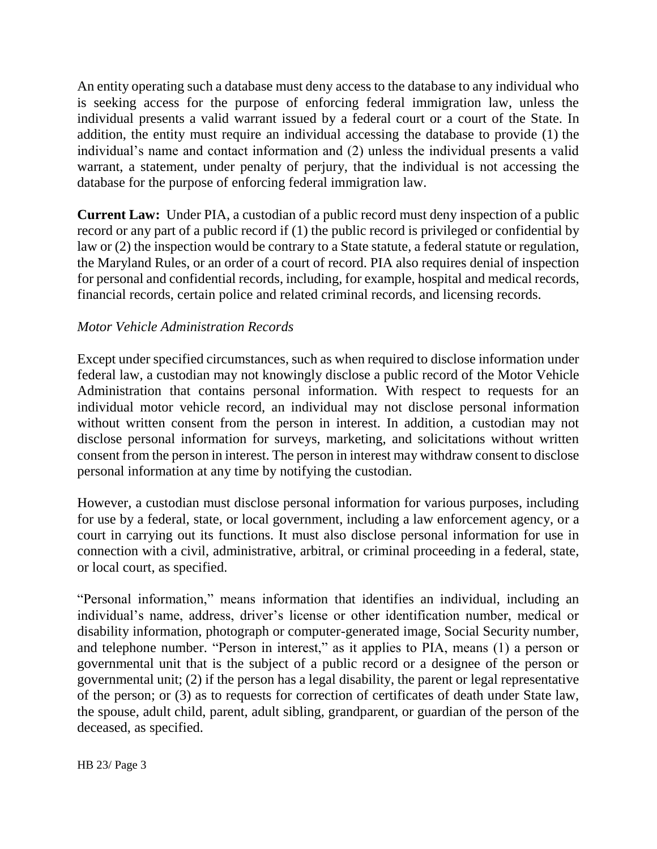An entity operating such a database must deny access to the database to any individual who is seeking access for the purpose of enforcing federal immigration law, unless the individual presents a valid warrant issued by a federal court or a court of the State. In addition, the entity must require an individual accessing the database to provide (1) the individual's name and contact information and (2) unless the individual presents a valid warrant, a statement, under penalty of perjury, that the individual is not accessing the database for the purpose of enforcing federal immigration law.

**Current Law:** Under PIA, a custodian of a public record must deny inspection of a public record or any part of a public record if (1) the public record is privileged or confidential by law or (2) the inspection would be contrary to a State statute, a federal statute or regulation, the Maryland Rules, or an order of a court of record. PIA also requires denial of inspection for personal and confidential records, including, for example, hospital and medical records, financial records, certain police and related criminal records, and licensing records.

### *Motor Vehicle Administration Records*

Except under specified circumstances, such as when required to disclose information under federal law, a custodian may not knowingly disclose a public record of the Motor Vehicle Administration that contains personal information. With respect to requests for an individual motor vehicle record, an individual may not disclose personal information without written consent from the person in interest. In addition, a custodian may not disclose personal information for surveys, marketing, and solicitations without written consent from the person in interest. The person in interest may withdraw consent to disclose personal information at any time by notifying the custodian.

However, a custodian must disclose personal information for various purposes, including for use by a federal, state, or local government, including a law enforcement agency, or a court in carrying out its functions. It must also disclose personal information for use in connection with a civil, administrative, arbitral, or criminal proceeding in a federal, state, or local court, as specified.

"Personal information," means information that identifies an individual, including an individual's name, address, driver's license or other identification number, medical or disability information, photograph or computer-generated image, Social Security number, and telephone number. "Person in interest," as it applies to PIA, means (1) a person or governmental unit that is the subject of a public record or a designee of the person or governmental unit; (2) if the person has a legal disability, the parent or legal representative of the person; or (3) as to requests for correction of certificates of death under State law, the spouse, adult child, parent, adult sibling, grandparent, or guardian of the person of the deceased, as specified.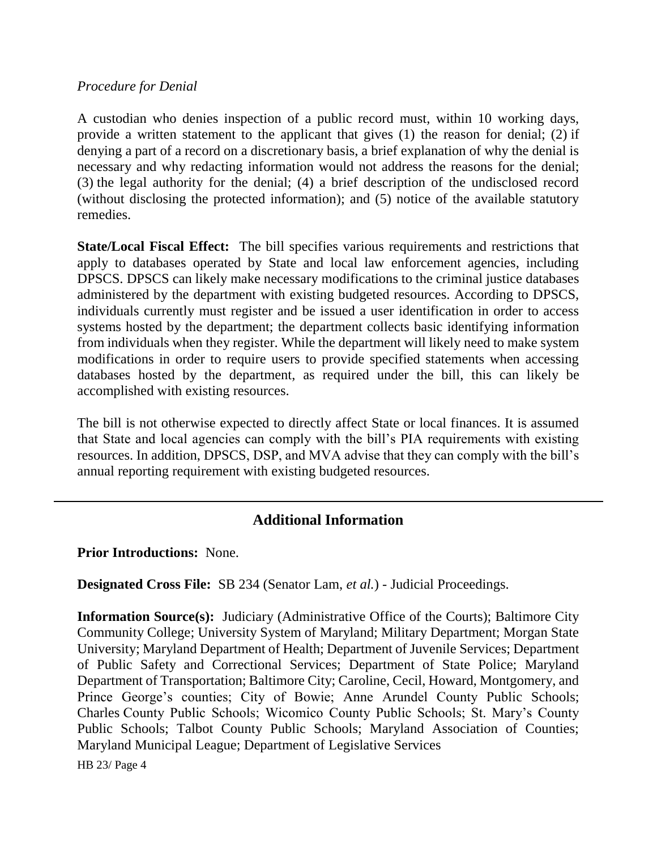#### *Procedure for Denial*

A custodian who denies inspection of a public record must, within 10 working days, provide a written statement to the applicant that gives (1) the reason for denial; (2) if denying a part of a record on a discretionary basis, a brief explanation of why the denial is necessary and why redacting information would not address the reasons for the denial; (3) the legal authority for the denial; (4) a brief description of the undisclosed record (without disclosing the protected information); and (5) notice of the available statutory remedies.

**State/Local Fiscal Effect:** The bill specifies various requirements and restrictions that apply to databases operated by State and local law enforcement agencies, including DPSCS. DPSCS can likely make necessary modifications to the criminal justice databases administered by the department with existing budgeted resources. According to DPSCS, individuals currently must register and be issued a user identification in order to access systems hosted by the department; the department collects basic identifying information from individuals when they register. While the department will likely need to make system modifications in order to require users to provide specified statements when accessing databases hosted by the department, as required under the bill, this can likely be accomplished with existing resources.

The bill is not otherwise expected to directly affect State or local finances. It is assumed that State and local agencies can comply with the bill's PIA requirements with existing resources. In addition, DPSCS, DSP, and MVA advise that they can comply with the bill's annual reporting requirement with existing budgeted resources.

## **Additional Information**

**Prior Introductions:** None.

**Designated Cross File:** SB 234 (Senator Lam, *et al.*) - Judicial Proceedings.

**Information Source(s):** Judiciary (Administrative Office of the Courts); Baltimore City Community College; University System of Maryland; Military Department; Morgan State University; Maryland Department of Health; Department of Juvenile Services; Department of Public Safety and Correctional Services; Department of State Police; Maryland Department of Transportation; Baltimore City; Caroline, Cecil, Howard, Montgomery, and Prince George's counties; City of Bowie; Anne Arundel County Public Schools; Charles County Public Schools; Wicomico County Public Schools; St. Mary's County Public Schools; Talbot County Public Schools; Maryland Association of Counties; Maryland Municipal League; Department of Legislative Services

HB 23/ Page 4